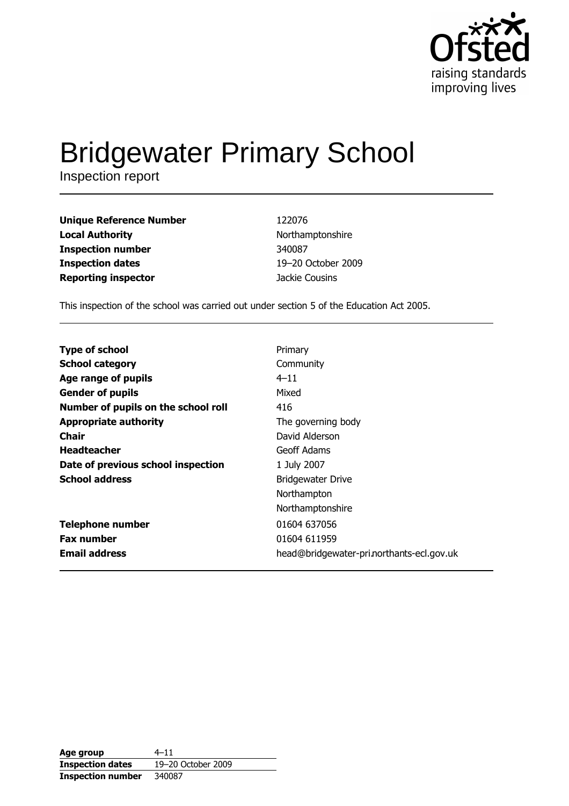

# **Bridgewater Primary School**

Inspection report

**Unique Reference Number Local Authority Inspection number Inspection dates Reporting inspector** 

122076 Northamptonshire 340087 19-20 October 2009 Jackie Cousins

This inspection of the school was carried out under section 5 of the Education Act 2005.

| <b>Type of school</b>               | Primary                                   |
|-------------------------------------|-------------------------------------------|
| <b>School category</b>              | Community                                 |
| Age range of pupils                 | $4 - 11$                                  |
| <b>Gender of pupils</b>             | Mixed                                     |
| Number of pupils on the school roll | 416                                       |
| <b>Appropriate authority</b>        | The governing body                        |
| Chair                               | David Alderson                            |
| <b>Headteacher</b>                  | Geoff Adams                               |
| Date of previous school inspection  | 1 July 2007                               |
| <b>School address</b>               | <b>Bridgewater Drive</b>                  |
|                                     | Northampton                               |
|                                     | Northamptonshire                          |
| <b>Telephone number</b>             | 01604 637056                              |
| <b>Fax number</b>                   | 01604 611959                              |
| <b>Email address</b>                | head@bridgewater-pri.northants-ecl.gov.uk |

| Age group                | $4 - 11$           |
|--------------------------|--------------------|
| <b>Inspection dates</b>  | 19-20 October 2009 |
| <b>Inspection number</b> | 340087             |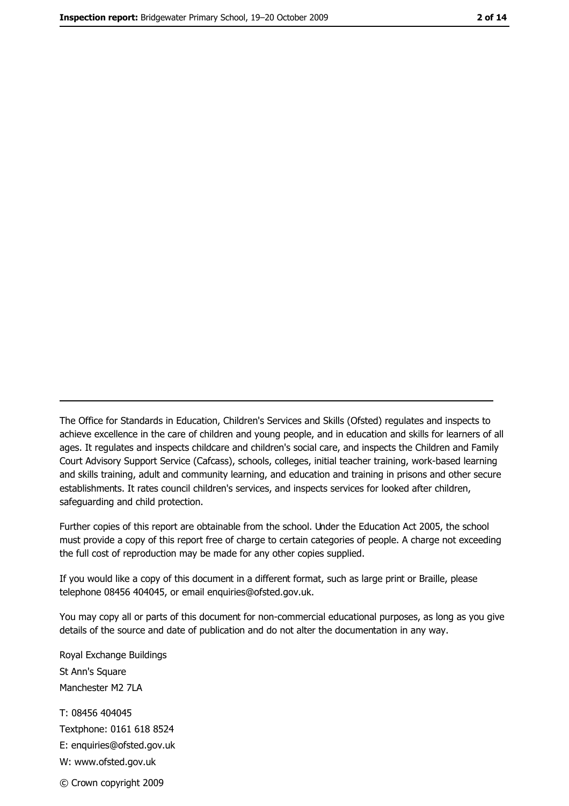The Office for Standards in Education, Children's Services and Skills (Ofsted) regulates and inspects to achieve excellence in the care of children and young people, and in education and skills for learners of all ages. It regulates and inspects childcare and children's social care, and inspects the Children and Family Court Advisory Support Service (Cafcass), schools, colleges, initial teacher training, work-based learning and skills training, adult and community learning, and education and training in prisons and other secure establishments. It rates council children's services, and inspects services for looked after children, safequarding and child protection.

Further copies of this report are obtainable from the school. Under the Education Act 2005, the school must provide a copy of this report free of charge to certain categories of people. A charge not exceeding the full cost of reproduction may be made for any other copies supplied.

If you would like a copy of this document in a different format, such as large print or Braille, please telephone 08456 404045, or email enquiries@ofsted.gov.uk.

You may copy all or parts of this document for non-commercial educational purposes, as long as you give details of the source and date of publication and do not alter the documentation in any way.

Royal Exchange Buildings St Ann's Square Manchester M2 7LA T: 08456 404045 Textphone: 0161 618 8524 E: enquiries@ofsted.gov.uk W: www.ofsted.gov.uk © Crown copyright 2009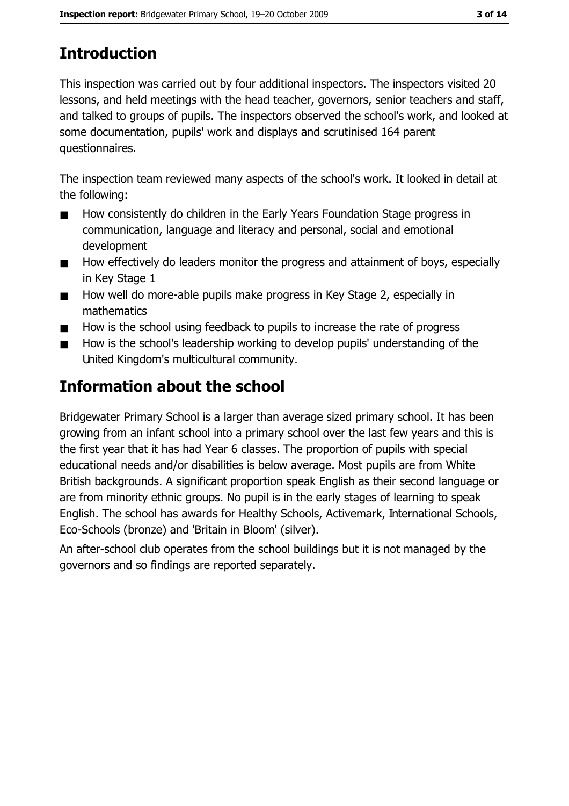# **Introduction**

This inspection was carried out by four additional inspectors. The inspectors visited 20 lessons, and held meetings with the head teacher, governors, senior teachers and staff, and talked to groups of pupils. The inspectors observed the school's work, and looked at some documentation, pupils' work and displays and scrutinised 164 parent questionnaires.

The inspection team reviewed many aspects of the school's work. It looked in detail at the following:

- How consistently do children in the Early Years Foundation Stage progress in  $\blacksquare$ communication, language and literacy and personal, social and emotional development
- How effectively do leaders monitor the progress and attainment of boys, especially  $\blacksquare$ in Kev Stage 1
- How well do more-able pupils make progress in Key Stage 2, especially in  $\blacksquare$ mathematics
- How is the school using feedback to pupils to increase the rate of progress
- How is the school's leadership working to develop pupils' understanding of the  $\blacksquare$ United Kingdom's multicultural community.

# Information about the school

Bridgewater Primary School is a larger than average sized primary school. It has been growing from an infant school into a primary school over the last few years and this is the first year that it has had Year 6 classes. The proportion of pupils with special educational needs and/or disabilities is below average. Most pupils are from White British backgrounds. A significant proportion speak English as their second language or are from minority ethnic groups. No pupil is in the early stages of learning to speak English. The school has awards for Healthy Schools, Activemark, International Schools, Eco-Schools (bronze) and 'Britain in Bloom' (silver).

An after-school club operates from the school buildings but it is not managed by the governors and so findings are reported separately.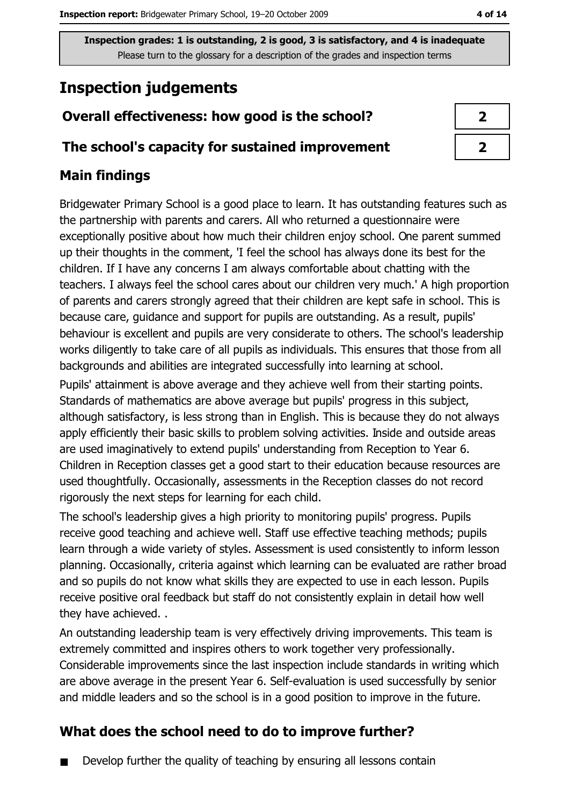# **Inspection judgements**

## Overall effectiveness: how good is the school?

#### The school's capacity for sustained improvement

## **Main findings**

Bridgewater Primary School is a good place to learn. It has outstanding features such as the partnership with parents and carers. All who returned a questionnaire were exceptionally positive about how much their children enjoy school. One parent summed up their thoughts in the comment, 'I feel the school has always done its best for the children. If I have any concerns I am always comfortable about chatting with the teachers. I always feel the school cares about our children very much.' A high proportion of parents and carers strongly agreed that their children are kept safe in school. This is because care, quidance and support for pupils are outstanding. As a result, pupils' behaviour is excellent and pupils are very considerate to others. The school's leadership works diligently to take care of all pupils as individuals. This ensures that those from all backgrounds and abilities are integrated successfully into learning at school.

Pupils' attainment is above average and they achieve well from their starting points. Standards of mathematics are above average but pupils' progress in this subject, although satisfactory, is less strong than in English. This is because they do not always apply efficiently their basic skills to problem solving activities. Inside and outside areas are used imaginatively to extend pupils' understanding from Reception to Year 6. Children in Reception classes get a good start to their education because resources are used thoughtfully. Occasionally, assessments in the Reception classes do not record rigorously the next steps for learning for each child.

The school's leadership gives a high priority to monitoring pupils' progress. Pupils receive good teaching and achieve well. Staff use effective teaching methods; pupils learn through a wide variety of styles. Assessment is used consistently to inform lesson planning. Occasionally, criteria against which learning can be evaluated are rather broad and so pupils do not know what skills they are expected to use in each lesson. Pupils receive positive oral feedback but staff do not consistently explain in detail how well they have achieved..

An outstanding leadership team is very effectively driving improvements. This team is extremely committed and inspires others to work together very professionally. Considerable improvements since the last inspection include standards in writing which are above average in the present Year 6. Self-evaluation is used successfully by senior and middle leaders and so the school is in a good position to improve in the future.

## What does the school need to do to improve further?

Develop further the quality of teaching by ensuring all lessons contain  $\blacksquare$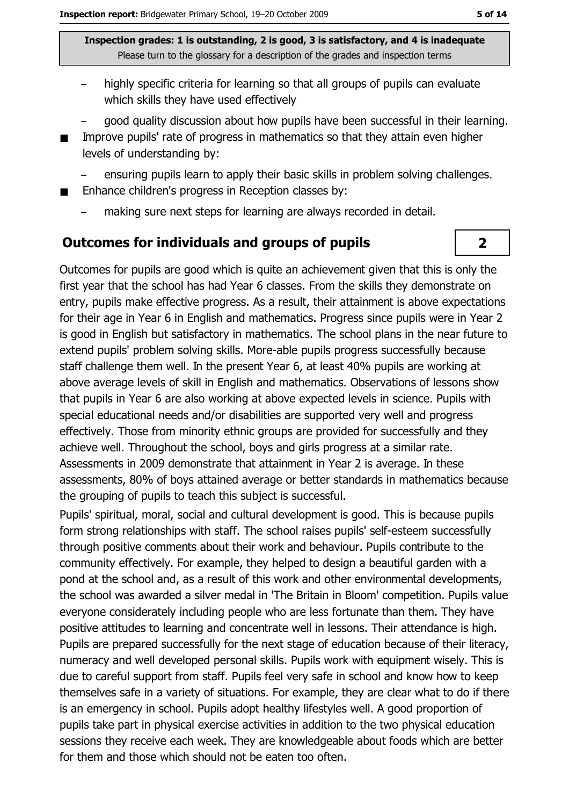- highly specific criteria for learning so that all groups of pupils can evaluate which skills they have used effectively
- good quality discussion about how pupils have been successful in their learning.
- Improve pupils' rate of progress in mathematics so that they attain even higher  $\blacksquare$ levels of understanding by:
	- ensuring pupils learn to apply their basic skills in problem solving challenges.
- Enhance children's progress in Reception classes by:  $\blacksquare$ 
	- making sure next steps for learning are always recorded in detail.

#### **Outcomes for individuals and groups of pupils**

Outcomes for pupils are good which is quite an achievement given that this is only the first year that the school has had Year 6 classes. From the skills they demonstrate on entry, pupils make effective progress. As a result, their attainment is above expectations for their age in Year 6 in English and mathematics. Progress since pupils were in Year 2 is good in English but satisfactory in mathematics. The school plans in the near future to extend pupils' problem solving skills. More-able pupils progress successfully because staff challenge them well. In the present Year 6, at least 40% pupils are working at above average levels of skill in English and mathematics. Observations of lessons show that pupils in Year 6 are also working at above expected levels in science. Pupils with special educational needs and/or disabilities are supported very well and progress effectively. Those from minority ethnic groups are provided for successfully and they achieve well. Throughout the school, boys and girls progress at a similar rate. Assessments in 2009 demonstrate that attainment in Year 2 is average. In these assessments, 80% of boys attained average or better standards in mathematics because the grouping of pupils to teach this subject is successful.

Pupils' spiritual, moral, social and cultural development is good. This is because pupils form strong relationships with staff. The school raises pupils' self-esteem successfully through positive comments about their work and behaviour. Pupils contribute to the community effectively. For example, they helped to design a beautiful garden with a pond at the school and, as a result of this work and other environmental developments, the school was awarded a silver medal in 'The Britain in Bloom' competition. Pupils value everyone considerately including people who are less fortunate than them. They have positive attitudes to learning and concentrate well in lessons. Their attendance is high. Pupils are prepared successfully for the next stage of education because of their literacy, numeracy and well developed personal skills. Pupils work with equipment wisely. This is due to careful support from staff. Pupils feel very safe in school and know how to keep themselves safe in a variety of situations. For example, they are clear what to do if there is an emergency in school. Pupils adopt healthy lifestyles well. A good proportion of pupils take part in physical exercise activities in addition to the two physical education sessions they receive each week. They are knowledgeable about foods which are better for them and those which should not be eaten too often.

 $\overline{\mathbf{2}}$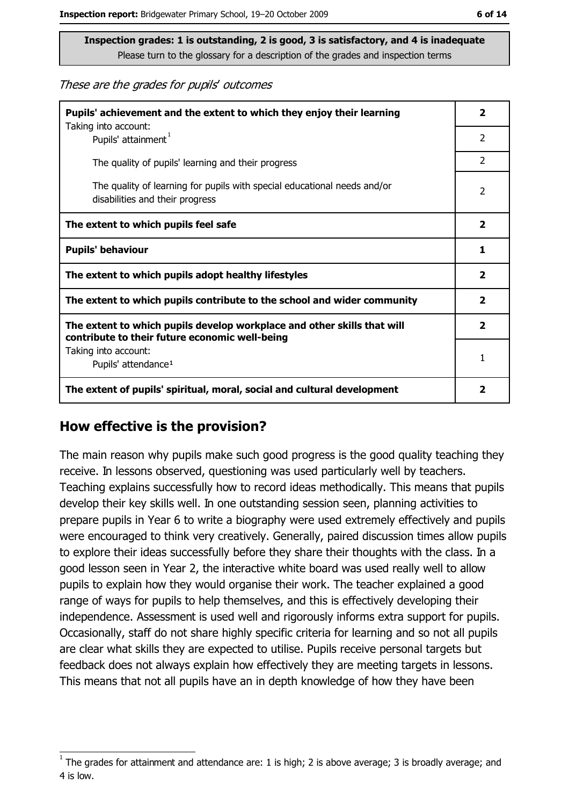These are the grades for pupils' outcomes

| Pupils' achievement and the extent to which they enjoy their learning                                                     |                |
|---------------------------------------------------------------------------------------------------------------------------|----------------|
| Taking into account:<br>Pupils' attainment <sup>1</sup>                                                                   | 2              |
| The quality of pupils' learning and their progress                                                                        | $\overline{2}$ |
| The quality of learning for pupils with special educational needs and/or<br>disabilities and their progress               | 2              |
| The extent to which pupils feel safe                                                                                      | $\overline{2}$ |
| <b>Pupils' behaviour</b>                                                                                                  | 1              |
| The extent to which pupils adopt healthy lifestyles                                                                       | $\mathbf{2}$   |
| The extent to which pupils contribute to the school and wider community                                                   |                |
| The extent to which pupils develop workplace and other skills that will<br>contribute to their future economic well-being |                |
| Taking into account:<br>Pupils' attendance <sup>1</sup>                                                                   | 1              |
| The extent of pupils' spiritual, moral, social and cultural development                                                   |                |

#### How effective is the provision?

The main reason why pupils make such good progress is the good quality teaching they receive. In lessons observed, questioning was used particularly well by teachers. Teaching explains successfully how to record ideas methodically. This means that pupils develop their key skills well. In one outstanding session seen, planning activities to prepare pupils in Year 6 to write a biography were used extremely effectively and pupils were encouraged to think very creatively. Generally, paired discussion times allow pupils to explore their ideas successfully before they share their thoughts with the class. In a good lesson seen in Year 2, the interactive white board was used really well to allow pupils to explain how they would organise their work. The teacher explained a good range of ways for pupils to help themselves, and this is effectively developing their independence. Assessment is used well and rigorously informs extra support for pupils. Occasionally, staff do not share highly specific criteria for learning and so not all pupils are clear what skills they are expected to utilise. Pupils receive personal targets but feedback does not always explain how effectively they are meeting targets in lessons. This means that not all pupils have an in depth knowledge of how they have been

The grades for attainment and attendance are: 1 is high; 2 is above average; 3 is broadly average; and 4 is low.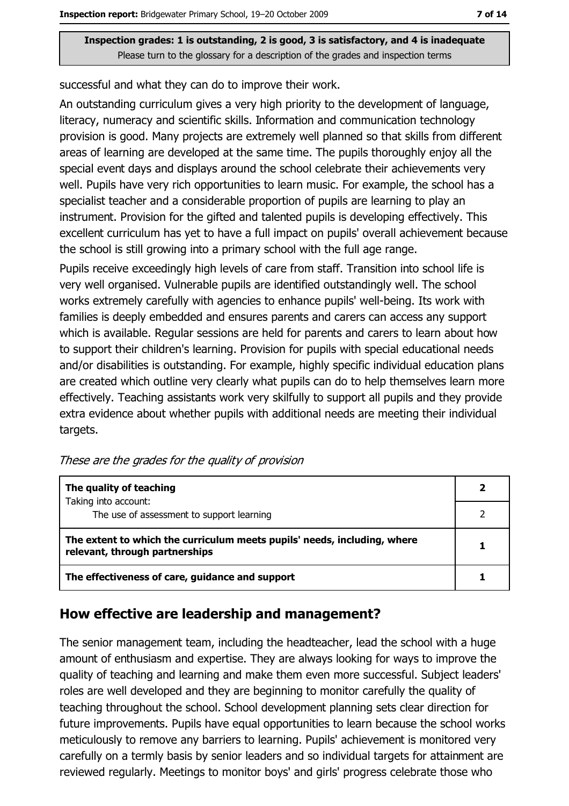successful and what they can do to improve their work.

An outstanding curriculum gives a very high priority to the development of language, literacy, numeracy and scientific skills. Information and communication technology provision is good. Many projects are extremely well planned so that skills from different areas of learning are developed at the same time. The pupils thoroughly enjoy all the special event days and displays around the school celebrate their achievements very well. Pupils have very rich opportunities to learn music. For example, the school has a specialist teacher and a considerable proportion of pupils are learning to play an instrument. Provision for the gifted and talented pupils is developing effectively. This excellent curriculum has yet to have a full impact on pupils' overall achievement because the school is still growing into a primary school with the full age range.

Pupils receive exceedingly high levels of care from staff. Transition into school life is very well organised. Vulnerable pupils are identified outstandingly well. The school works extremely carefully with agencies to enhance pupils' well-being. Its work with families is deeply embedded and ensures parents and carers can access any support which is available. Regular sessions are held for parents and carers to learn about how to support their children's learning. Provision for pupils with special educational needs and/or disabilities is outstanding. For example, highly specific individual education plans are created which outline very clearly what pupils can do to help themselves learn more effectively. Teaching assistants work very skilfully to support all pupils and they provide extra evidence about whether pupils with additional needs are meeting their individual targets.

| The quality of teaching                                                                                    |  |
|------------------------------------------------------------------------------------------------------------|--|
| Taking into account:<br>The use of assessment to support learning                                          |  |
| The extent to which the curriculum meets pupils' needs, including, where<br>relevant, through partnerships |  |
| The effectiveness of care, guidance and support                                                            |  |

These are the grades for the quality of provision

#### How effective are leadership and management?

The senior management team, including the headteacher, lead the school with a huge amount of enthusiasm and expertise. They are always looking for ways to improve the quality of teaching and learning and make them even more successful. Subject leaders' roles are well developed and they are beginning to monitor carefully the quality of teaching throughout the school. School development planning sets clear direction for future improvements. Pupils have equal opportunities to learn because the school works meticulously to remove any barriers to learning. Pupils' achievement is monitored very carefully on a termly basis by senior leaders and so individual targets for attainment are reviewed regularly. Meetings to monitor boys' and girls' progress celebrate those who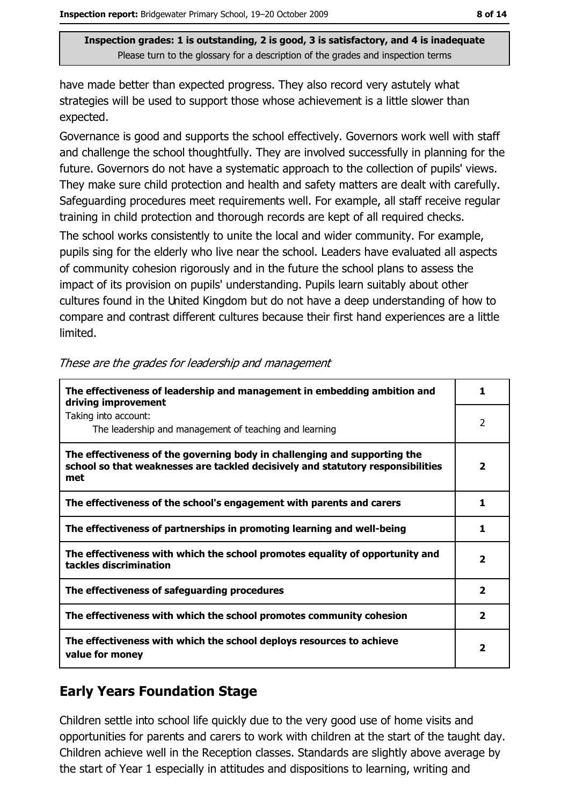have made better than expected progress. They also record very astutely what strategies will be used to support those whose achievement is a little slower than expected.

Governance is good and supports the school effectively. Governors work well with staff and challenge the school thoughtfully. They are involved successfully in planning for the future. Governors do not have a systematic approach to the collection of pupils' views. They make sure child protection and health and safety matters are dealt with carefully. Safeguarding procedures meet requirements well. For example, all staff receive regular training in child protection and thorough records are kept of all required checks.

The school works consistently to unite the local and wider community. For example, pupils sing for the elderly who live near the school. Leaders have evaluated all aspects of community cohesion rigorously and in the future the school plans to assess the impact of its provision on pupils' understanding. Pupils learn suitably about other cultures found in the United Kingdom but do not have a deep understanding of how to compare and contrast different cultures because their first hand experiences are a little limited.

| The effectiveness of leadership and management in embedding ambition and<br>driving improvement                                                                     | 1.                      |
|---------------------------------------------------------------------------------------------------------------------------------------------------------------------|-------------------------|
| Taking into account:<br>The leadership and management of teaching and learning                                                                                      | 2                       |
| The effectiveness of the governing body in challenging and supporting the<br>school so that weaknesses are tackled decisively and statutory responsibilities<br>met | $\overline{\mathbf{2}}$ |
| The effectiveness of the school's engagement with parents and carers                                                                                                | 1                       |
| The effectiveness of partnerships in promoting learning and well-being                                                                                              | 1                       |
| The effectiveness with which the school promotes equality of opportunity and<br>tackles discrimination                                                              | $\overline{\mathbf{2}}$ |
| The effectiveness of safeguarding procedures                                                                                                                        | $\overline{\mathbf{2}}$ |
| The effectiveness with which the school promotes community cohesion                                                                                                 | $\overline{2}$          |
| The effectiveness with which the school deploys resources to achieve<br>value for money                                                                             | 2                       |

#### These are the grades for leadership and management

## **Early Years Foundation Stage**

Children settle into school life quickly due to the very good use of home visits and opportunities for parents and carers to work with children at the start of the taught day. Children achieve well in the Reception classes. Standards are slightly above average by the start of Year 1 especially in attitudes and dispositions to learning, writing and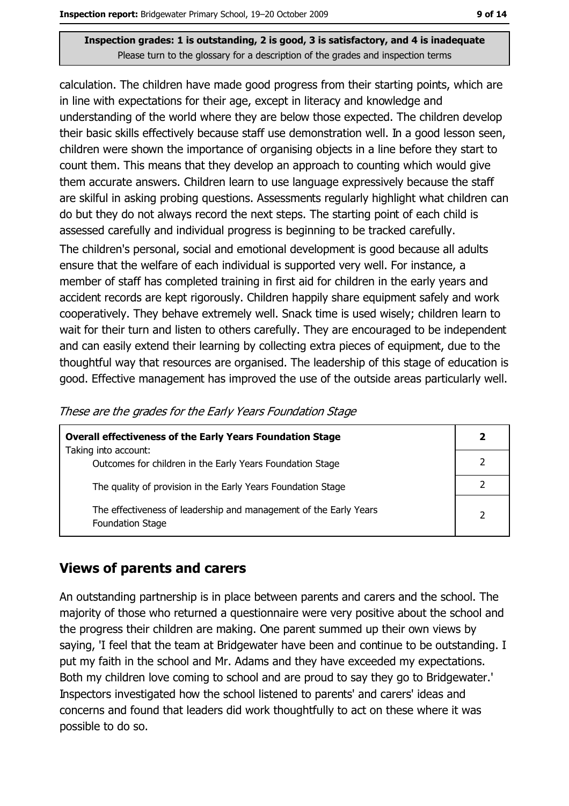calculation. The children have made good progress from their starting points, which are in line with expectations for their age, except in literacy and knowledge and understanding of the world where they are below those expected. The children develop their basic skills effectively because staff use demonstration well. In a good lesson seen, children were shown the importance of organising objects in a line before they start to count them. This means that they develop an approach to counting which would give them accurate answers. Children learn to use language expressively because the staff are skilful in asking probing questions. Assessments regularly highlight what children can do but they do not always record the next steps. The starting point of each child is assessed carefully and individual progress is beginning to be tracked carefully.

The children's personal, social and emotional development is good because all adults ensure that the welfare of each individual is supported very well. For instance, a member of staff has completed training in first aid for children in the early years and accident records are kept rigorously. Children happily share equipment safely and work cooperatively. They behave extremely well. Snack time is used wisely; children learn to wait for their turn and listen to others carefully. They are encouraged to be independent and can easily extend their learning by collecting extra pieces of equipment, due to the thoughtful way that resources are organised. The leadership of this stage of education is good. Effective management has improved the use of the outside areas particularly well.

| These are the grades for the Early Years Foundation Stage |  |  |
|-----------------------------------------------------------|--|--|
|                                                           |  |  |

| <b>Overall effectiveness of the Early Years Foundation Stage</b>                             |               |  |
|----------------------------------------------------------------------------------------------|---------------|--|
| Taking into account:                                                                         |               |  |
| Outcomes for children in the Early Years Foundation Stage                                    |               |  |
| The quality of provision in the Early Years Foundation Stage                                 |               |  |
| The effectiveness of leadership and management of the Early Years<br><b>Foundation Stage</b> | $\mathcal{P}$ |  |

#### **Views of parents and carers**

An outstanding partnership is in place between parents and carers and the school. The majority of those who returned a questionnaire were very positive about the school and the progress their children are making. One parent summed up their own views by saying, 'I feel that the team at Bridgewater have been and continue to be outstanding. I put my faith in the school and Mr. Adams and they have exceeded my expectations. Both my children love coming to school and are proud to say they go to Bridgewater.' Inspectors investigated how the school listened to parents' and carers' ideas and concerns and found that leaders did work thoughtfully to act on these where it was possible to do so.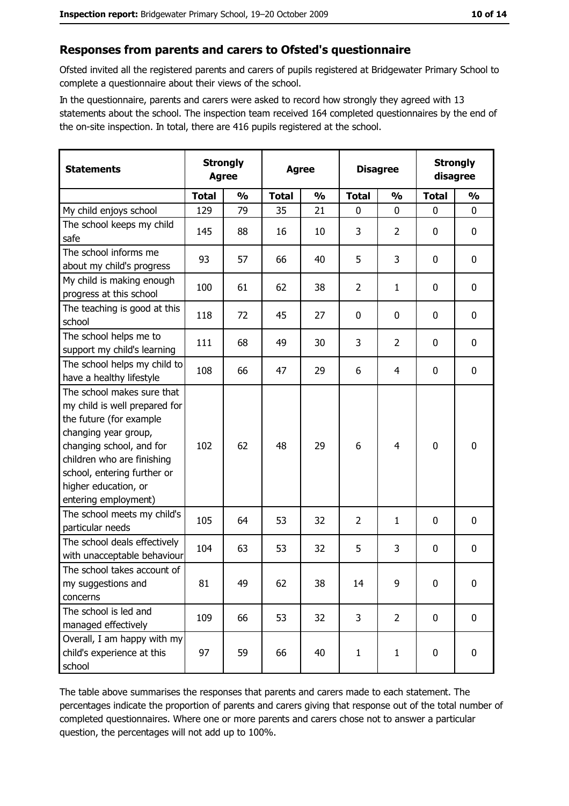### Responses from parents and carers to Ofsted's questionnaire

Ofsted invited all the registered parents and carers of pupils registered at Bridgewater Primary School to complete a questionnaire about their views of the school.

In the questionnaire, parents and carers were asked to record how strongly they agreed with 13 statements about the school. The inspection team received 164 completed questionnaires by the end of the on-site inspection. In total, there are 416 pupils registered at the school.

| <b>Statements</b>                                                                                                                                                                                                                                       | <b>Strongly</b><br><b>Agree</b> |               | <b>Agree</b> |               | <b>Disagree</b> |                | <b>Strongly</b><br>disagree |               |
|---------------------------------------------------------------------------------------------------------------------------------------------------------------------------------------------------------------------------------------------------------|---------------------------------|---------------|--------------|---------------|-----------------|----------------|-----------------------------|---------------|
|                                                                                                                                                                                                                                                         | <b>Total</b>                    | $\frac{0}{0}$ | <b>Total</b> | $\frac{0}{0}$ | <b>Total</b>    | $\frac{0}{0}$  | <b>Total</b>                | $\frac{0}{0}$ |
| My child enjoys school                                                                                                                                                                                                                                  | 129                             | 79            | 35           | 21            | $\mathbf 0$     | 0              | $\mathbf{0}$                | $\mathbf{0}$  |
| The school keeps my child<br>safe                                                                                                                                                                                                                       | 145                             | 88            | 16           | 10            | 3               | $\overline{2}$ | 0                           | $\mathbf 0$   |
| The school informs me<br>about my child's progress                                                                                                                                                                                                      | 93                              | 57            | 66           | 40            | 5               | 3              | 0                           | 0             |
| My child is making enough<br>progress at this school                                                                                                                                                                                                    | 100                             | 61            | 62           | 38            | $\overline{2}$  | $\mathbf{1}$   | 0                           | 0             |
| The teaching is good at this<br>school                                                                                                                                                                                                                  | 118                             | 72            | 45           | 27            | $\mathbf 0$     | 0              | 0                           | $\mathbf 0$   |
| The school helps me to<br>support my child's learning                                                                                                                                                                                                   | 111                             | 68            | 49           | 30            | 3               | $\overline{2}$ | 0                           | 0             |
| The school helps my child to<br>have a healthy lifestyle                                                                                                                                                                                                | 108                             | 66            | 47           | 29            | 6               | 4              | 0                           | $\mathbf 0$   |
| The school makes sure that<br>my child is well prepared for<br>the future (for example<br>changing year group,<br>changing school, and for<br>children who are finishing<br>school, entering further or<br>higher education, or<br>entering employment) | 102                             | 62            | 48           | 29            | 6               | $\overline{4}$ | $\mathbf 0$                 | $\mathbf 0$   |
| The school meets my child's<br>particular needs                                                                                                                                                                                                         | 105                             | 64            | 53           | 32            | $\overline{2}$  | $\mathbf{1}$   | 0                           | 0             |
| The school deals effectively<br>with unacceptable behaviour                                                                                                                                                                                             | 104                             | 63            | 53           | 32            | 5               | 3              | 0                           | $\bf{0}$      |
| The school takes account of<br>my suggestions and<br>concerns                                                                                                                                                                                           | 81                              | 49            | 62           | 38            | 14              | 9              | 0                           | $\bf{0}$      |
| The school is led and<br>managed effectively                                                                                                                                                                                                            | 109                             | 66            | 53           | 32            | 3               | $\overline{2}$ | $\mathbf 0$                 | 0             |
| Overall, I am happy with my<br>child's experience at this<br>school                                                                                                                                                                                     | 97                              | 59            | 66           | 40            | $\mathbf{1}$    | $\mathbf{1}$   | 0                           | 0             |

The table above summarises the responses that parents and carers made to each statement. The percentages indicate the proportion of parents and carers giving that response out of the total number of completed questionnaires. Where one or more parents and carers chose not to answer a particular question, the percentages will not add up to 100%.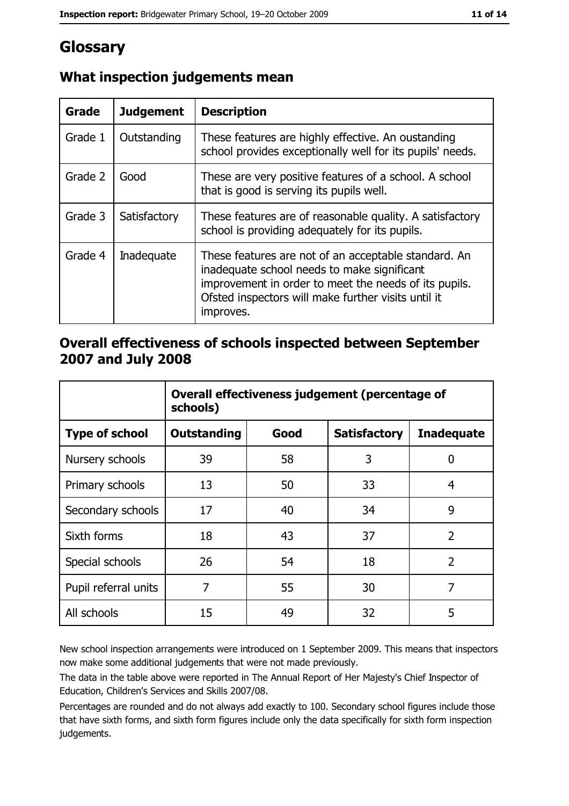# Glossary

| Grade   | <b>Judgement</b> | <b>Description</b>                                                                                                                                                                                                               |
|---------|------------------|----------------------------------------------------------------------------------------------------------------------------------------------------------------------------------------------------------------------------------|
| Grade 1 | Outstanding      | These features are highly effective. An oustanding<br>school provides exceptionally well for its pupils' needs.                                                                                                                  |
| Grade 2 | Good             | These are very positive features of a school. A school<br>that is good is serving its pupils well.                                                                                                                               |
| Grade 3 | Satisfactory     | These features are of reasonable quality. A satisfactory<br>school is providing adequately for its pupils.                                                                                                                       |
| Grade 4 | Inadequate       | These features are not of an acceptable standard. An<br>inadequate school needs to make significant<br>improvement in order to meet the needs of its pupils.<br>Ofsted inspectors will make further visits until it<br>improves. |

## What inspection judgements mean

## Overall effectiveness of schools inspected between September 2007 and July 2008

|                       | Overall effectiveness judgement (percentage of<br>schools) |      |                     |                   |
|-----------------------|------------------------------------------------------------|------|---------------------|-------------------|
| <b>Type of school</b> | <b>Outstanding</b>                                         | Good | <b>Satisfactory</b> | <b>Inadequate</b> |
| Nursery schools       | 39                                                         | 58   | 3                   | 0                 |
| Primary schools       | 13                                                         | 50   | 33                  | 4                 |
| Secondary schools     | 17                                                         | 40   | 34                  | 9                 |
| Sixth forms           | 18                                                         | 43   | 37                  | $\overline{2}$    |
| Special schools       | 26                                                         | 54   | 18                  | $\overline{2}$    |
| Pupil referral units  | 7                                                          | 55   | 30                  | 7                 |
| All schools           | 15                                                         | 49   | 32                  | 5                 |

New school inspection arrangements were introduced on 1 September 2009. This means that inspectors now make some additional judgements that were not made previously.

The data in the table above were reported in The Annual Report of Her Majesty's Chief Inspector of Education, Children's Services and Skills 2007/08.

Percentages are rounded and do not always add exactly to 100. Secondary school figures include those that have sixth forms, and sixth form figures include only the data specifically for sixth form inspection judgements.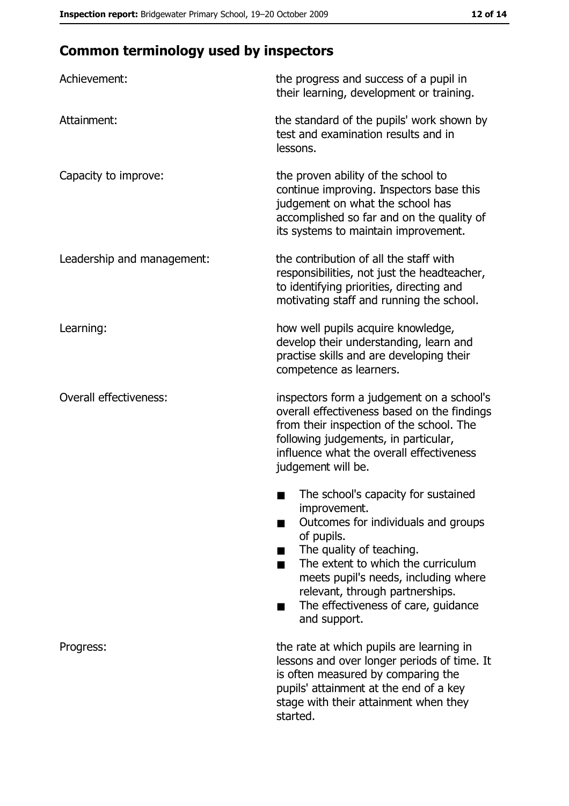# **Common terminology used by inspectors**

| Achievement:                  | the progress and success of a pupil in<br>their learning, development or training.                                                                                                                                                                                                                           |
|-------------------------------|--------------------------------------------------------------------------------------------------------------------------------------------------------------------------------------------------------------------------------------------------------------------------------------------------------------|
| Attainment:                   | the standard of the pupils' work shown by<br>test and examination results and in<br>lessons.                                                                                                                                                                                                                 |
| Capacity to improve:          | the proven ability of the school to<br>continue improving. Inspectors base this<br>judgement on what the school has<br>accomplished so far and on the quality of<br>its systems to maintain improvement.                                                                                                     |
| Leadership and management:    | the contribution of all the staff with<br>responsibilities, not just the headteacher,<br>to identifying priorities, directing and<br>motivating staff and running the school.                                                                                                                                |
| Learning:                     | how well pupils acquire knowledge,<br>develop their understanding, learn and<br>practise skills and are developing their<br>competence as learners.                                                                                                                                                          |
| <b>Overall effectiveness:</b> | inspectors form a judgement on a school's<br>overall effectiveness based on the findings<br>from their inspection of the school. The<br>following judgements, in particular,<br>influence what the overall effectiveness<br>judgement will be.                                                               |
|                               | The school's capacity for sustained<br>improvement.<br>Outcomes for individuals and groups<br>of pupils.<br>The quality of teaching.<br>The extent to which the curriculum<br>meets pupil's needs, including where<br>relevant, through partnerships.<br>The effectiveness of care, guidance<br>and support. |
| Progress:                     | the rate at which pupils are learning in<br>lessons and over longer periods of time. It<br>is often measured by comparing the<br>pupils' attainment at the end of a key<br>stage with their attainment when they<br>started.                                                                                 |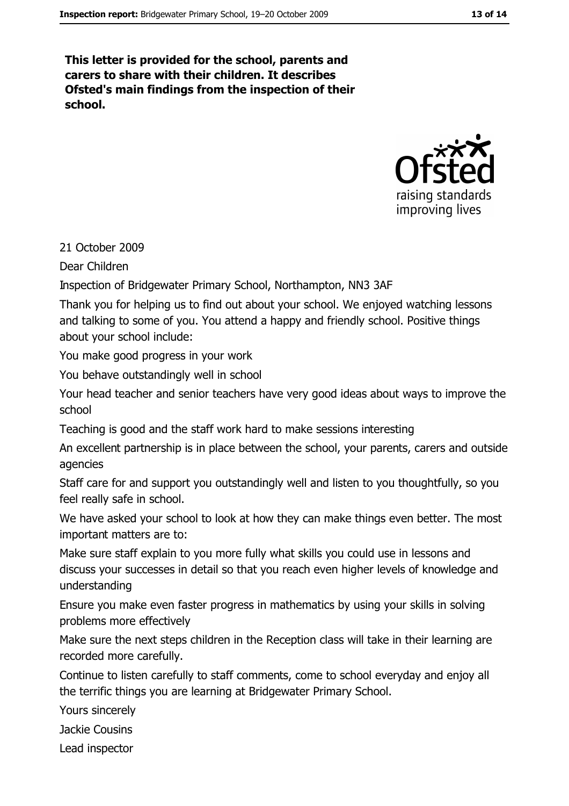This letter is provided for the school, parents and carers to share with their children. It describes Ofsted's main findings from the inspection of their school.



21 October 2009

Dear Children

Inspection of Bridgewater Primary School, Northampton, NN3 3AF

Thank you for helping us to find out about your school. We enjoyed watching lessons and talking to some of you. You attend a happy and friendly school. Positive things about your school include:

You make good progress in your work

You behave outstandingly well in school

Your head teacher and senior teachers have very good ideas about ways to improve the school

Teaching is good and the staff work hard to make sessions interesting

An excellent partnership is in place between the school, your parents, carers and outside agencies

Staff care for and support you outstandingly well and listen to you thoughtfully, so you feel really safe in school.

We have asked your school to look at how they can make things even better. The most important matters are to:

Make sure staff explain to you more fully what skills you could use in lessons and discuss your successes in detail so that you reach even higher levels of knowledge and understanding

Ensure you make even faster progress in mathematics by using your skills in solving problems more effectively

Make sure the next steps children in the Reception class will take in their learning are recorded more carefully.

Continue to listen carefully to staff comments, come to school everyday and enjoy all the terrific things you are learning at Bridgewater Primary School.

Yours sincerely

Jackie Cousins

Lead inspector